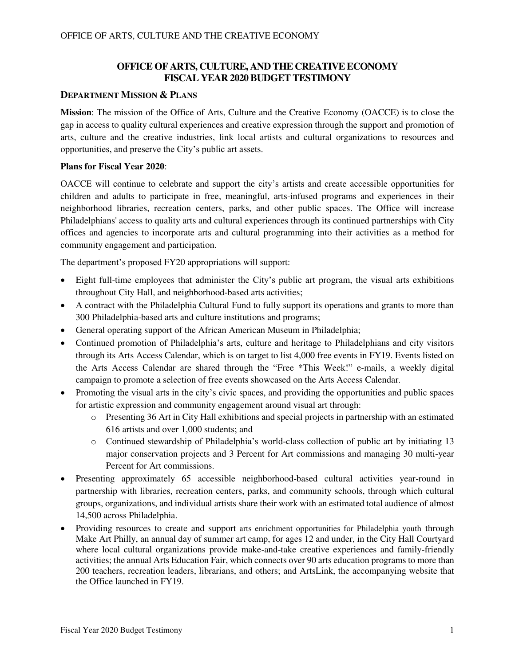## **OFFICE OF ARTS, CULTURE, AND THE CREATIVE ECONOMY FISCAL YEAR 2020 BUDGET TESTIMONY**

#### **DEPARTMENT MISSION & PLANS**

**Mission**: The mission of the Office of Arts, Culture and the Creative Economy (OACCE) is to close the gap in access to quality cultural experiences and creative expression through the support and promotion of arts, culture and the creative industries, link local artists and cultural organizations to resources and opportunities, and preserve the City's public art assets.

#### **Plans for Fiscal Year 2020**:

OACCE will continue to celebrate and support the city's artists and create accessible opportunities for children and adults to participate in free, meaningful, arts-infused programs and experiences in their neighborhood libraries, recreation centers, parks, and other public spaces. The Office will increase Philadelphians' access to quality arts and cultural experiences through its continued partnerships with City offices and agencies to incorporate arts and cultural programming into their activities as a method for community engagement and participation.

The department's proposed FY20 appropriations will support:

- Eight full-time employees that administer the City's public art program, the visual arts exhibitions throughout City Hall, and neighborhood-based arts activities;
- A contract with the Philadelphia Cultural Fund to fully support its operations and grants to more than 300 Philadelphia-based arts and culture institutions and programs;
- General operating support of the African American Museum in Philadelphia;
- Continued promotion of Philadelphia's arts, culture and heritage to Philadelphians and city visitors through its Arts Access Calendar, which is on target to list 4,000 free events in FY19. Events listed on the Arts Access Calendar are shared through the "Free \*This Week!" e-mails, a weekly digital campaign to promote a selection of free events showcased on the Arts Access Calendar.
- Promoting the visual arts in the city's civic spaces, and providing the opportunities and public spaces for artistic expression and community engagement around visual art through:
	- o Presenting 36 Art in City Hall exhibitions and special projects in partnership with an estimated 616 artists and over 1,000 students; and
	- o Continued stewardship of Philadelphia's world-class collection of public art by initiating 13 major conservation projects and 3 Percent for Art commissions and managing 30 multi-year Percent for Art commissions.
- Presenting approximately 65 accessible neighborhood-based cultural activities year-round in partnership with libraries, recreation centers, parks, and community schools, through which cultural groups, organizations, and individual artists share their work with an estimated total audience of almost 14,500 across Philadelphia.
- Providing resources to create and support arts enrichment opportunities for Philadelphia youth through Make Art Philly, an annual day of summer art camp, for ages 12 and under, in the City Hall Courtyard where local cultural organizations provide make-and-take creative experiences and family-friendly activities; the annual Arts Education Fair, which connects over 90 arts education programs to more than 200 teachers, recreation leaders, librarians, and others; and ArtsLink, the accompanying website that the Office launched in FY19.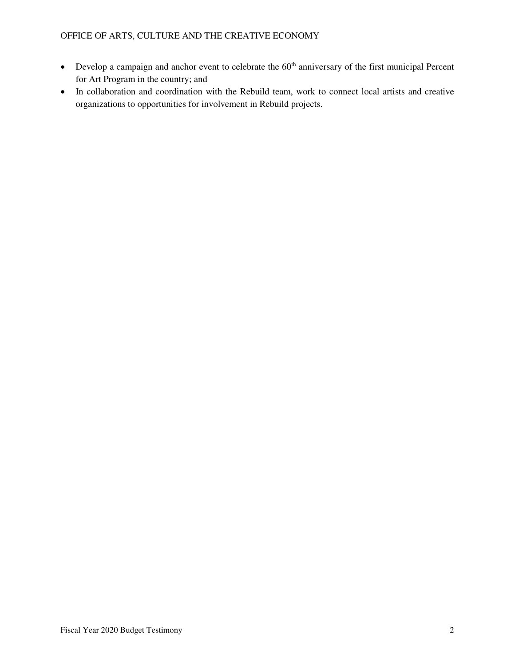- Develop a campaign and anchor event to celebrate the 60<sup>th</sup> anniversary of the first municipal Percent for Art Program in the country; and
- In collaboration and coordination with the Rebuild team, work to connect local artists and creative organizations to opportunities for involvement in Rebuild projects.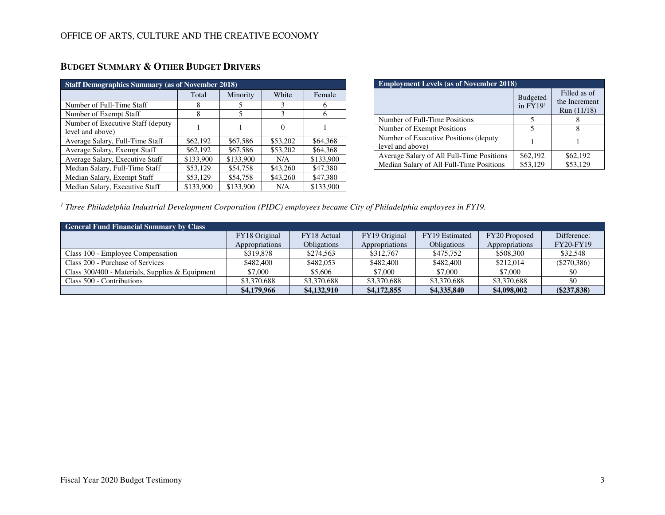| <b>Staff Demographics Summary (as of November 2018)</b> |           |           |          |           |  |  |  |  |  |
|---------------------------------------------------------|-----------|-----------|----------|-----------|--|--|--|--|--|
|                                                         | Total     | Minority  | White    | Female    |  |  |  |  |  |
| Number of Full-Time Staff                               | 8         | 5         | 3        | 6         |  |  |  |  |  |
| Number of Exempt Staff                                  | 8         | 5         | 3        | 6         |  |  |  |  |  |
| Number of Executive Staff (deputy<br>level and above)   |           |           | $\Omega$ |           |  |  |  |  |  |
| Average Salary, Full-Time Staff                         | \$62,192  | \$67,586  | \$53,202 | \$64,368  |  |  |  |  |  |
| Average Salary, Exempt Staff                            | \$62,192  | \$67,586  | \$53,202 | \$64,368  |  |  |  |  |  |
| Average Salary, Executive Staff                         | \$133,900 | \$133,900 | N/A      | \$133,900 |  |  |  |  |  |
| Median Salary, Full-Time Staff                          | \$53,129  | \$54,758  | \$43,260 | \$47,380  |  |  |  |  |  |
| Median Salary, Exempt Staff                             | \$53,129  | \$54,758  | \$43,260 | \$47,380  |  |  |  |  |  |
| Median Salary, Executive Staff                          | \$133,900 | \$133,900 | N/A      | \$133,900 |  |  |  |  |  |

## **BUDGET SUMMARY & OTHER BUDGET DRIVERS**

| <b>Employment Levels (as of November 2018)</b>             |                               |                                              |  |  |  |  |  |
|------------------------------------------------------------|-------------------------------|----------------------------------------------|--|--|--|--|--|
|                                                            | <b>Budgeted</b><br>in $FY191$ | Filled as of<br>the Increment<br>Run (11/18) |  |  |  |  |  |
| Number of Full-Time Positions                              |                               |                                              |  |  |  |  |  |
| Number of Exempt Positions                                 |                               |                                              |  |  |  |  |  |
| Number of Executive Positions (deputy)<br>level and above) |                               |                                              |  |  |  |  |  |
| Average Salary of All Full-Time Positions                  | \$62,192                      | \$62,192                                     |  |  |  |  |  |
| Median Salary of All Full-Time Positions                   | \$53,129                      | \$53,129                                     |  |  |  |  |  |

<sup>1</sup> Three Philadelphia Industrial Development Corporation (PIDC) employees became City of Philadelphia employees in FY19.

| <b>General Fund Financial Summary by Class</b>    |                |                    |                |                    |                |                  |  |  |  |  |
|---------------------------------------------------|----------------|--------------------|----------------|--------------------|----------------|------------------|--|--|--|--|
|                                                   | FY18 Original  | FY18 Actual        | FY19 Original  | FY19 Estimated     | FY20 Proposed  | Difference:      |  |  |  |  |
|                                                   | Appropriations | <b>Obligations</b> | Appropriations | <b>Obligations</b> | Appropriations | <b>FY20-FY19</b> |  |  |  |  |
| Class 100 - Employee Compensation                 | \$319,878      | \$274.563          | \$312,767      | \$475.752          | \$508,300      | \$32,548         |  |  |  |  |
| Class 200 - Purchase of Services                  | \$482,400      | \$482,053          | \$482,400      | \$482,400          | \$212,014      | $(\$270,386)$    |  |  |  |  |
| Class $300/400$ - Materials, Supplies & Equipment | \$7,000        | \$5,606            | \$7,000        | \$7,000            | \$7,000        | \$0              |  |  |  |  |
| Class 500 - Contributions                         | \$3,370,688    | \$3,370,688        | \$3,370,688    | \$3,370,688        | \$3,370,688    | \$0              |  |  |  |  |
|                                                   | \$4,179,966    | \$4,132,910        | \$4,172,855    | \$4,335,840        | \$4,098,002    | $(\$237,838)$    |  |  |  |  |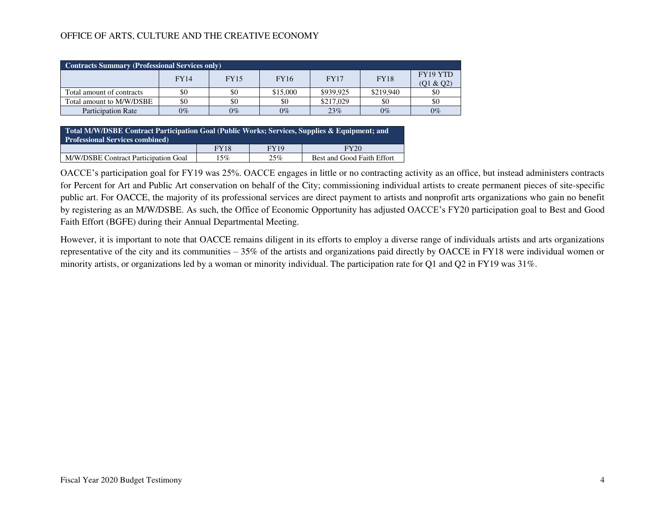| <b>Contracts Summary (Professional Services only)</b> |       |             |             |             |             |                       |  |  |
|-------------------------------------------------------|-------|-------------|-------------|-------------|-------------|-----------------------|--|--|
|                                                       | FY14  | <b>FY15</b> | <b>FY16</b> | <b>FY17</b> | <b>FY18</b> | FY19 YTD<br>(01 & 02) |  |  |
| Total amount of contracts                             | \$0   | \$0         | \$15,000    | \$939,925   | \$219,940   | \$0                   |  |  |
| Total amount to M/W/DSBE                              | \$0   | \$0         | \$0         | \$217,029   | \$0         | \$0                   |  |  |
| <b>Participation Rate</b>                             | $0\%$ | $0\%$       | $0\%$       | 23%         | $0\%$       | $0\%$                 |  |  |

**Total M/W/DSBE Contract Participation Goal (Public Works; Services, Supplies & Equipment; and Professional Services combined) FY18** FY19 FY20 M/W/DSBE Contract Participation Goal 15% 25% Best and Good Faith Effort

OACCE's participation goal for FY19 was 25%. OACCE engages in little or no contracting activity as an office, but instead administers contracts for Percent for Art and Public Art conservation on behalf of the City; commissioning individual artists to create permanent pieces of site-specific public art. For OACCE, the majority of its professional services are direct payment to artists and nonprofit arts organizations who gain no benefit by registering as an M/W/DSBE. As such, the Office of Economic Opportunity has adjusted OACCE's FY20 participation goal to Best and Good Faith Effort (BGFE) during their Annual Departmental Meeting.

However, it is important to note that OACCE remains diligent in its efforts to employ a diverse range of individuals artists and arts organizations representative of the city and its communities – 35% of the artists and organizations paid directly by OACCE in FY18 were individual women or minority artists, or organizations led by a woman or minority individual. The participation rate for Q1 and Q2 in FY19 was 31%.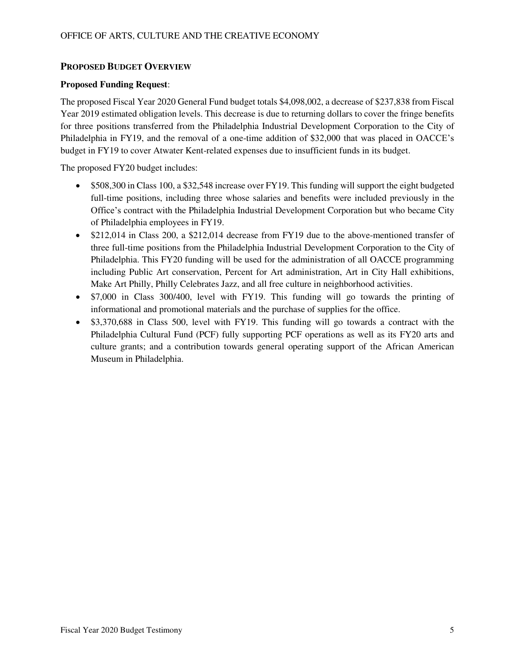### **PROPOSED BUDGET OVERVIEW**

#### **Proposed Funding Request**:

The proposed Fiscal Year 2020 General Fund budget totals \$4,098,002, a decrease of \$237,838 from Fiscal Year 2019 estimated obligation levels. This decrease is due to returning dollars to cover the fringe benefits for three positions transferred from the Philadelphia Industrial Development Corporation to the City of Philadelphia in FY19, and the removal of a one-time addition of \$32,000 that was placed in OACCE's budget in FY19 to cover Atwater Kent-related expenses due to insufficient funds in its budget.

The proposed FY20 budget includes:

- \$508,300 in Class 100, a \$32,548 increase over FY19. This funding will support the eight budgeted full-time positions, including three whose salaries and benefits were included previously in the Office's contract with the Philadelphia Industrial Development Corporation but who became City of Philadelphia employees in FY19.
- \$212,014 in Class 200, a \$212,014 decrease from FY19 due to the above-mentioned transfer of three full-time positions from the Philadelphia Industrial Development Corporation to the City of Philadelphia. This FY20 funding will be used for the administration of all OACCE programming including Public Art conservation, Percent for Art administration, Art in City Hall exhibitions, Make Art Philly, Philly Celebrates Jazz, and all free culture in neighborhood activities.
- \$7,000 in Class 300/400, level with FY19. This funding will go towards the printing of informational and promotional materials and the purchase of supplies for the office.
- \$3,370,688 in Class 500, level with FY19. This funding will go towards a contract with the Philadelphia Cultural Fund (PCF) fully supporting PCF operations as well as its FY20 arts and culture grants; and a contribution towards general operating support of the African American Museum in Philadelphia.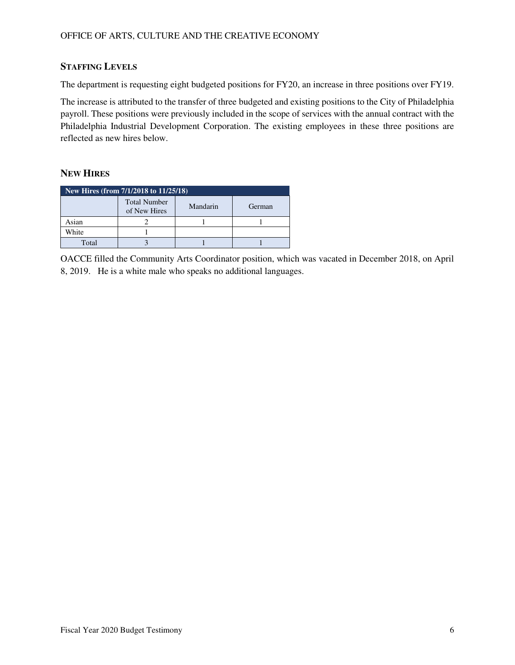## **STAFFING LEVELS**

The department is requesting eight budgeted positions for FY20, an increase in three positions over FY19.

The increase is attributed to the transfer of three budgeted and existing positions to the City of Philadelphia payroll. These positions were previously included in the scope of services with the annual contract with the Philadelphia Industrial Development Corporation. The existing employees in these three positions are reflected as new hires below.

## **NEW HIRES**

| New Hires (from 7/1/2018 to 11/25/18)                     |  |  |  |  |  |  |  |
|-----------------------------------------------------------|--|--|--|--|--|--|--|
| <b>Total Number</b><br>Mandarin<br>German<br>of New Hires |  |  |  |  |  |  |  |
| Asian                                                     |  |  |  |  |  |  |  |
| White                                                     |  |  |  |  |  |  |  |
| Total                                                     |  |  |  |  |  |  |  |

OACCE filled the Community Arts Coordinator position, which was vacated in December 2018, on April 8, 2019. He is a white male who speaks no additional languages.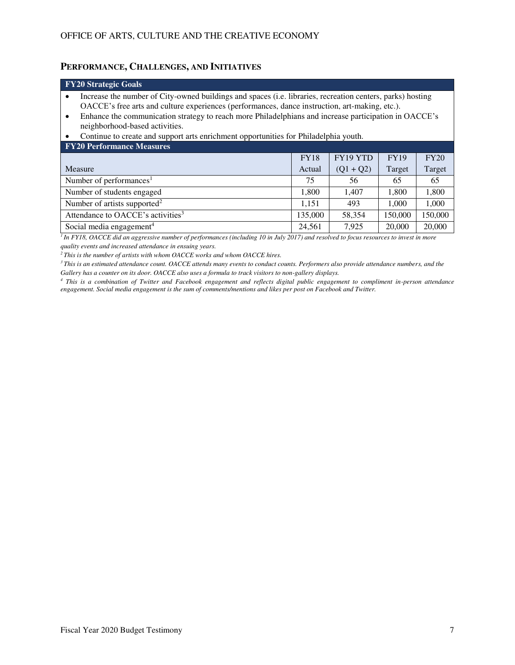### **PERFORMANCE, CHALLENGES, AND INITIATIVES**

| <b>FY20 Strategic Goals</b>                                                                                                                                                                                                                                                                                                                                                       |                                         |             |             |        |  |  |  |  |  |
|-----------------------------------------------------------------------------------------------------------------------------------------------------------------------------------------------------------------------------------------------------------------------------------------------------------------------------------------------------------------------------------|-----------------------------------------|-------------|-------------|--------|--|--|--|--|--|
| Increase the number of City-owned buildings and spaces (i.e. libraries, recreation centers, parks) hosting<br>$\bullet$<br>OACCE's free arts and culture experiences (performances, dance instruction, art-making, etc.).<br>Enhance the communication strategy to reach more Philadelphians and increase participation in OACCE's<br>$\bullet$<br>neighborhood-based activities. |                                         |             |             |        |  |  |  |  |  |
| Continue to create and support arts enrichment opportunities for Philadelphia youth.                                                                                                                                                                                                                                                                                              |                                         |             |             |        |  |  |  |  |  |
| <b>FY20 Performance Measures</b>                                                                                                                                                                                                                                                                                                                                                  |                                         |             |             |        |  |  |  |  |  |
|                                                                                                                                                                                                                                                                                                                                                                                   | <b>FY18</b>                             | FY19 YTD    | <b>FY19</b> | FY20   |  |  |  |  |  |
| Measure                                                                                                                                                                                                                                                                                                                                                                           | Actual                                  | $(Q1 + Q2)$ | Target      | Target |  |  |  |  |  |
| Number of performances <sup>1</sup>                                                                                                                                                                                                                                                                                                                                               | 75                                      | 56          | 65          | 65     |  |  |  |  |  |
| Number of students engaged                                                                                                                                                                                                                                                                                                                                                        | 1,800                                   | 1,407       | 1,800       | 1,800  |  |  |  |  |  |
| Number of artists supported <sup>2</sup><br>1,151<br>1,000<br>1,000<br>493                                                                                                                                                                                                                                                                                                        |                                         |             |             |        |  |  |  |  |  |
| Attendance to OACCE's activities <sup>3</sup>                                                                                                                                                                                                                                                                                                                                     | 135,000<br>58,354<br>150,000<br>150,000 |             |             |        |  |  |  |  |  |
| Social media engagement <sup>4</sup>                                                                                                                                                                                                                                                                                                                                              | 24.561                                  | 7.925       | 20,000      | 20,000 |  |  |  |  |  |

*<sup>1</sup>In FY18, OACCE did an aggressive number of performances (including 10 in July 2017) and resolved to focus resources to invest in more quality events and increased attendance in ensuing years.* 

*<sup>2</sup>This is the number of artists with whom OACCE works and whom OACCE hires.* 

*<sup>3</sup>This is an estimated attendance count. OACCE attends many events to conduct counts. Performers also provide attendance numbers, and the Gallery has a counter on its door. OACCE also uses a formula to track visitors to non-gallery displays.* 

*4 This is a combination of Twitter and Facebook engagement and reflects digital public engagement to compliment in-person attendance engagement. Social media engagement is the sum of comments/mentions and likes per post on Facebook and Twitter.*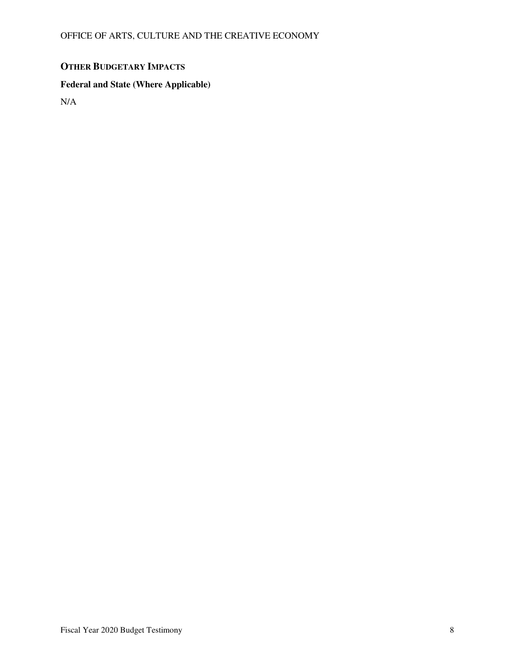# **OTHER BUDGETARY IMPACTS**

## **Federal and State (Where Applicable)**

N/A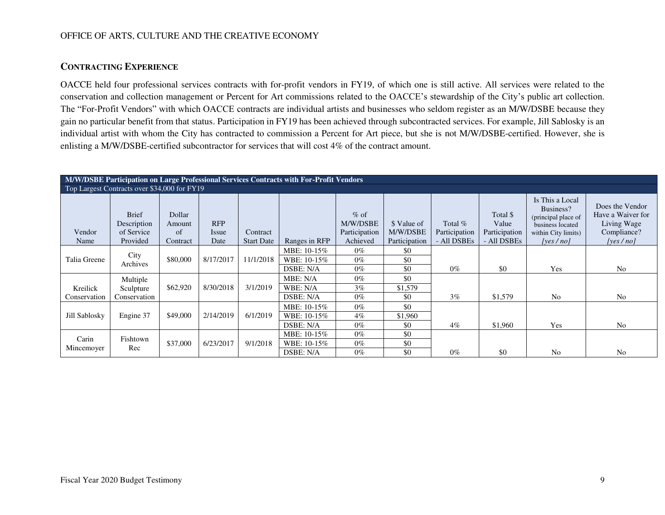## **CONTRACTING EXPERIENCE**

OACCE held four professional services contracts with for-profit vendors in FY19, of which one is still active. All services were related to the conservation and collection management or Percent for Art commissions related to the OACCE's stewardship of the City's public art collection. The "For-Profit Vendors" with which OACCE contracts are individual artists and businesses who seldom register as an M/W/DSBE because they gain no particular benefit from that status. Participation in FY19 has been achieved through subcontracted services. For example, Jill Sablosky is an individual artist with whom the City has contracted to commission a Percent for Art piece, but she is not M/W/DSBE-certified. However, she is enlisting a M/W/DSBE-certified subcontractor for services that will cost 4% of the contract amount.

| M/W/DSBE Participation on Large Professional Services Contracts with For-Profit Vendors |                                                       |                                    |                             |                               |               |                                                 |                                          |                                         |                                                   |                                                                                                            |                                                                                |
|-----------------------------------------------------------------------------------------|-------------------------------------------------------|------------------------------------|-----------------------------|-------------------------------|---------------|-------------------------------------------------|------------------------------------------|-----------------------------------------|---------------------------------------------------|------------------------------------------------------------------------------------------------------------|--------------------------------------------------------------------------------|
| Top Largest Contracts over \$34,000 for FY19                                            |                                                       |                                    |                             |                               |               |                                                 |                                          |                                         |                                                   |                                                                                                            |                                                                                |
| Vendor<br>Name                                                                          | <b>Brief</b><br>Description<br>of Service<br>Provided | Dollar<br>Amount<br>of<br>Contract | <b>RFP</b><br>Issue<br>Date | Contract<br><b>Start Date</b> | Ranges in RFP | $%$ of<br>M/W/DSBE<br>Participation<br>Achieved | \$ Value of<br>M/W/DSBE<br>Participation | Total %<br>Participation<br>- All DSBEs | Total \$<br>Value<br>Participation<br>- All DSBEs | Is This a Local<br>Business?<br>(principal place of<br>business located<br>within City limits)<br>[ves/no] | Does the Vendor<br>Have a Waiver for<br>Living Wage<br>Compliance?<br>[yes/no] |
|                                                                                         |                                                       |                                    |                             |                               | MBE: 10-15%   | $0\%$                                           | \$0                                      |                                         |                                                   |                                                                                                            |                                                                                |
| Talia Greene                                                                            | City<br>Archives                                      | \$80,000                           | 8/17/2017                   | 11/1/2018                     | WBE: 10-15%   | $0\%$                                           | \$0                                      |                                         |                                                   |                                                                                                            |                                                                                |
|                                                                                         |                                                       |                                    |                             |                               | DSBE: N/A     | $0\%$                                           | \$0                                      | $0\%$                                   | \$0                                               | Yes                                                                                                        | N <sub>0</sub>                                                                 |
|                                                                                         | Multiple                                              |                                    |                             |                               | MBE: N/A      | $0\%$                                           | \$0                                      |                                         |                                                   |                                                                                                            |                                                                                |
| Kreilick                                                                                | Sculpture                                             | \$62,920                           | 8/30/2018                   | 3/1/2019                      | WBE: N/A      | 3%                                              | \$1,579                                  |                                         |                                                   |                                                                                                            |                                                                                |
| Conservation                                                                            | Conservation                                          |                                    |                             |                               | DSBE: N/A     | $0\%$                                           | \$0                                      | 3%                                      | \$1,579                                           | N <sub>0</sub>                                                                                             | N <sub>o</sub>                                                                 |
|                                                                                         |                                                       |                                    |                             |                               | MBE: 10-15%   | $0\%$                                           | \$0                                      |                                         |                                                   |                                                                                                            |                                                                                |
| Jill Sablosky                                                                           | Engine 37                                             | \$49,000                           | 2/14/2019                   | 6/1/2019                      | WBE: 10-15%   | $4\%$                                           | \$1,960                                  |                                         |                                                   |                                                                                                            |                                                                                |
|                                                                                         |                                                       |                                    |                             |                               | DSBE: N/A     | $0\%$                                           | \$0                                      | $4\%$                                   | \$1,960                                           | Yes                                                                                                        | N <sub>o</sub>                                                                 |
| Carin                                                                                   | Fishtown                                              |                                    |                             |                               | MBE: 10-15%   | $0\%$                                           | \$0                                      |                                         |                                                   |                                                                                                            |                                                                                |
| Mincemoyer                                                                              | Rec                                                   | \$37,000                           | 6/23/2017                   | 9/1/2018                      | WBE: 10-15%   | $0\%$                                           | \$0                                      |                                         |                                                   |                                                                                                            |                                                                                |
|                                                                                         |                                                       |                                    |                             |                               | DSBE: N/A     | $0\%$                                           | \$0                                      | $0\%$                                   | \$0                                               | N <sub>0</sub>                                                                                             | N <sub>0</sub>                                                                 |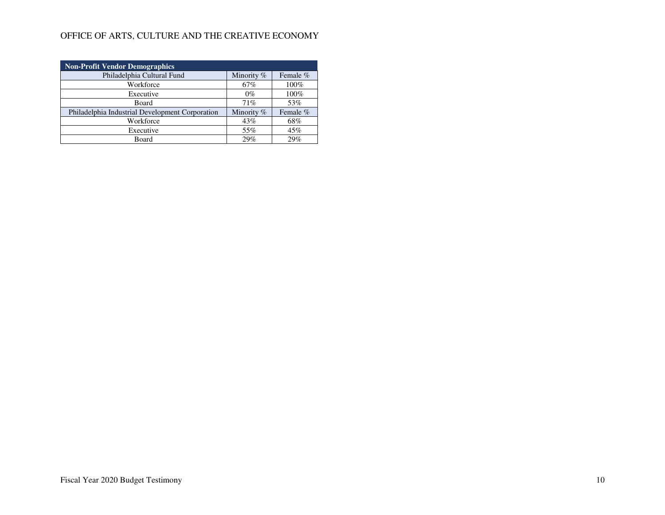| <b>Non-Profit Vendor Demographics</b>           |            |          |  |  |  |  |  |  |
|-------------------------------------------------|------------|----------|--|--|--|--|--|--|
| Philadelphia Cultural Fund                      | Minority % | Female % |  |  |  |  |  |  |
| Workforce                                       | 67%        | 100%     |  |  |  |  |  |  |
| Executive                                       | $0\%$      | 100%     |  |  |  |  |  |  |
| Board                                           | 71%        | 53%      |  |  |  |  |  |  |
| Philadelphia Industrial Development Corporation | Minority % | Female % |  |  |  |  |  |  |
| Workforce                                       | 43%        | 68%      |  |  |  |  |  |  |
| Executive                                       | 55%        | 45%      |  |  |  |  |  |  |
| Board                                           | 29%        | 29%      |  |  |  |  |  |  |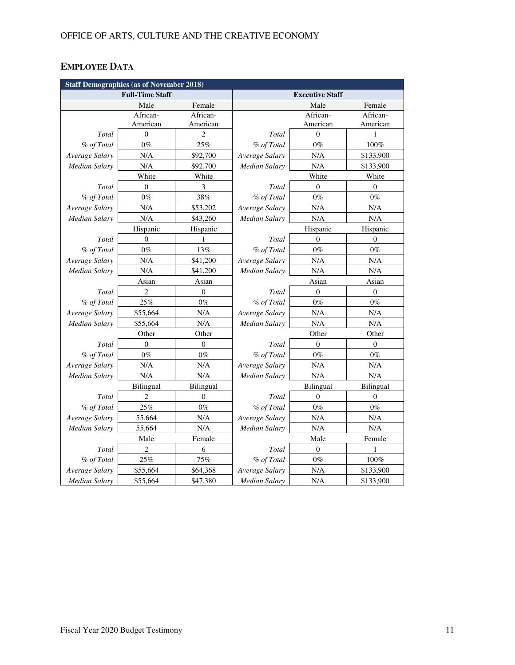# **EMPLOYEE DATA**

| <b>Staff Demographics (as of November 2018)</b> |                        |                  |                      |                        |                  |  |  |  |
|-------------------------------------------------|------------------------|------------------|----------------------|------------------------|------------------|--|--|--|
|                                                 | <b>Full-Time Staff</b> |                  |                      | <b>Executive Staff</b> |                  |  |  |  |
|                                                 | Male                   | Female           |                      | Male                   | Female           |  |  |  |
|                                                 | African-               | African-         |                      | African-               | African-         |  |  |  |
|                                                 | American               | American         |                      | American               | American         |  |  |  |
| Total                                           | $\boldsymbol{0}$       | 2                | Total                | $\boldsymbol{0}$       | 1                |  |  |  |
| % of Total                                      | $0\%$                  | 25%              | % of Total           | $0\%$                  | 100%             |  |  |  |
| Average Salary                                  | $\rm N/A$              | \$92,700         | Average Salary       | N/A                    | \$133,900        |  |  |  |
| <b>Median Salary</b>                            | N/A                    | \$92,700         | <b>Median Salary</b> | N/A                    | \$133,900        |  |  |  |
|                                                 | White                  | White            |                      | White                  | White            |  |  |  |
| Total                                           | $\overline{0}$         | 3                | Total                | $\overline{0}$         | $\theta$         |  |  |  |
| % of Total                                      | $0\%$                  | 38%              | % of Total           | $0\%$                  | $0\%$            |  |  |  |
| Average Salary                                  | N/A                    | \$53,202         | Average Salary       | N/A                    | N/A              |  |  |  |
| <b>Median Salary</b>                            | N/A                    | \$43,260         | Median Salary        | N/A                    | N/A              |  |  |  |
|                                                 | Hispanic               | Hispanic         |                      | Hispanic               | Hispanic         |  |  |  |
| Total                                           | $\mathbf{0}$           | 1                | Total                | $\mathbf{0}$           | $\overline{0}$   |  |  |  |
| % of Total                                      | $0\%$                  | 13%              | % of Total           | $0\%$                  | $0\%$            |  |  |  |
| Average Salary                                  | N/A                    | \$41,200         | Average Salary       | $\rm N/A$              | N/A              |  |  |  |
| Median Salary                                   | N/A                    | \$41,200         | Median Salary        | N/A                    | N/A              |  |  |  |
|                                                 | Asian                  | Asian            |                      | Asian                  | Asian            |  |  |  |
| Total                                           | 2                      | $\boldsymbol{0}$ | Total                | $\boldsymbol{0}$       | $\boldsymbol{0}$ |  |  |  |
| % of Total                                      | 25%                    | $0\%$            | % of Total           | $0\%$                  | $0\%$            |  |  |  |
| Average Salary                                  | \$55,664               | N/A              | Average Salary       | N/A                    | N/A              |  |  |  |
| Median Salary                                   | \$55,664               | N/A              | Median Salary        | N/A                    | N/A              |  |  |  |
|                                                 | Other                  | Other            |                      | Other                  | Other            |  |  |  |
| Total                                           | $\theta$               | $\theta$         | Total                | $\theta$               | $\theta$         |  |  |  |
| % of Total                                      | $0\%$                  | $0\%$            | % of Total           | $0\%$                  | $0\%$            |  |  |  |
| Average Salary                                  | N/A                    | N/A              | Average Salary       | N/A                    | N/A              |  |  |  |
| Median Salary                                   | N/A                    | N/A              | Median Salary        | N/A                    | N/A              |  |  |  |
|                                                 | <b>Bilingual</b>       | Bilingual        |                      | <b>Bilingual</b>       | Bilingual        |  |  |  |
| Total                                           | 2                      | $\overline{0}$   | Total                | $\overline{0}$         | $\overline{0}$   |  |  |  |
| % of Total                                      | 25%                    | $0\%$            | % of Total           | $0\%$                  | $0\%$            |  |  |  |
| Average Salary                                  | 55,664                 | N/A              | Average Salary       | N/A                    | N/A              |  |  |  |
| Median Salary                                   | 55,664                 | N/A              | Median Salary        | N/A                    | N/A              |  |  |  |
|                                                 | Male                   | Female           |                      | Male                   | Female           |  |  |  |
| Total                                           | $\overline{c}$         | 6                | Total                | $\mathbf{0}$           | 1                |  |  |  |
| % of Total                                      | 25%                    | 75%              | % of Total           | $0\%$                  | $100\%$          |  |  |  |
| Average Salary                                  | \$55,664               | \$64,368         | Average Salary       | $\rm N/A$              | \$133,900        |  |  |  |
| <b>Median Salary</b>                            | \$55,664               | \$47,380         | <b>Median Salary</b> | N/A                    | \$133,900        |  |  |  |